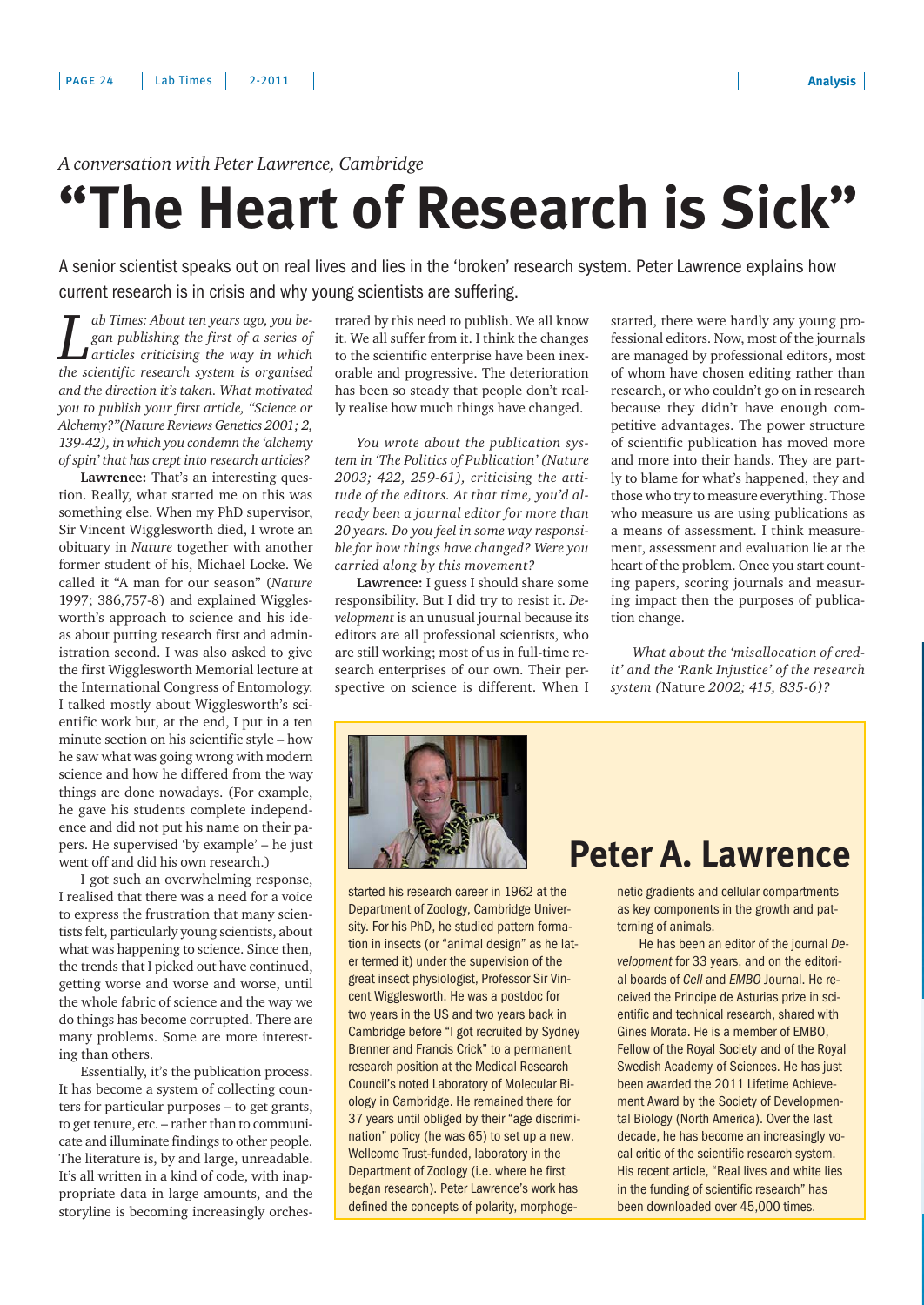## **"The Heart of Research is Sick"**

A senior scientist speaks out on real lives and lies in the 'broken' research system. Peter Lawrence explains how current research is in crisis and why young scientists are suffering.

*L db* Times: About ten years ago, you began publishing the first of a series of articles criticising the way in which the scientific research system is organised *ab Times: About ten years ago, you began publishing the first of a series of articles criticising the way in which and the direction it's taken. What motivated you to publish your first article, "Science or Alchemy?"(Nature Reviews Genetics 2001; 2, 139-42), in which you condemn the 'alchemy of spin' that has crept into research articles?*

**Lawrence:** That's an interesting question. Really, what started me on this was something else. When my PhD supervisor, Sir Vincent Wigglesworth died, I wrote an obituary in *Nature* together with another former student of his, Michael Locke. We called it "A man for our season" (*Nature* 1997; 386,757-8) and explained Wigglesworth's approach to science and his ideas about putting research first and administration second. I was also asked to give the first Wigglesworth Memorial lecture at the International Congress of Entomology. I talked mostly about Wigglesworth's scientific work but, at the end, I put in a ten minute section on his scientific style – how he saw what was going wrong with modern science and how he differed from the way things are done nowadays. (For example, he gave his students complete independence and did not put his name on their papers. He supervised 'by example' – he just went off and did his own research.)

I got such an overwhelming response, I realised that there was a need for a voice to express the frustration that many scientists felt, particularly young scientists, about what was happening to science. Since then, the trends that I picked out have continued, getting worse and worse and worse, until the whole fabric of science and the way we do things has become corrupted. There are many problems. Some are more interesting than others.

Essentially, it's the publication process. It has become a system of collecting counters for particular purposes – to get grants, to get tenure, etc. – rather than to communicate and illuminate findings to other people. The literature is, by and large, unreadable. It's all written in a kind of code, with inappropriate data in large amounts, and the storyline is becoming increasingly orches-

trated by this need to publish. We all know it. We all suffer from it. I think the changes to the scientific enterprise have been inexorable and progressive. The deterioration has been so steady that people don't really realise how much things have changed.

*You wrote about the publication system in 'The Politics of Publication' (Nature 2003; 422, 259-61), criticising the attitude of the editors. At that time, you'd already been a journal editor for more than 20 years. Do you feel in some way responsible for how things have changed? Were you carried along by this movement?*

**Lawrence:** I guess I should share some responsibility. But I did try to resist it. *Development* is an unusual journal because its editors are all professional scientists, who are still working; most of us in full-time research enterprises of our own. Their perspective on science is different. When I started, there were hardly any young professional editors. Now, most of the journals are managed by professional editors, most of whom have chosen editing rather than research, or who couldn't go on in research because they didn't have enough competitive advantages. The power structure of scientific publication has moved more and more into their hands. They are partly to blame for what's happened, they and those who try to measure everything. Those who measure us are using publications as a means of assessment. I think measurement, assessment and evaluation lie at the heart of the problem. Once you start counting papers, scoring journals and measuring impact then the purposes of publication change.

*What about the 'misallocation of credit' and the 'Rank Injustice' of the research system (*Nature *2002; 415, 835-6)?*



started his research career in 1962 at the Department of Zoology, Cambridge University. For his PhD, he studied pattern formation in insects (or "animal design" as he later termed it) under the supervision of the great insect physiologist, Professor Sir Vincent Wigglesworth. He was a postdoc for two years in the US and two years back in Cambridge before "I got recruited by Sydney Brenner and Francis Crick" to a permanent research position at the Medical Research Council's noted Laboratory of Molecular Biology in Cambridge. He remained there for 37 years until obliged by their "age discrimination" policy (he was 65) to set up a new, Wellcome Trust-funded, laboratory in the Department of Zoology (i.e. where he first began research). Peter Lawrence's work has defined the concepts of polarity, morphoge-

## **Peter A. Lawrence**

netic gradients and cellular compartments as key components in the growth and patterning of animals.

He has been an editor of the journal *Development* for 33 years, and on the editorial boards of *Cell* and *EMBO* Journal. He received the Principe de Asturias prize in scientific and technical research, shared with Gines Morata. He is a member of EMBO, Fellow of the Royal Society and of the Royal Swedish Academy of Sciences. He has just been awarded the 2011 Lifetime Achievement Award by the Society of Developmental Biology (North America). Over the last decade, he has become an increasingly vocal critic of the scientific research system. His recent article, "Real lives and white lies in the funding of scientific research" has been downloaded over 45,000 times.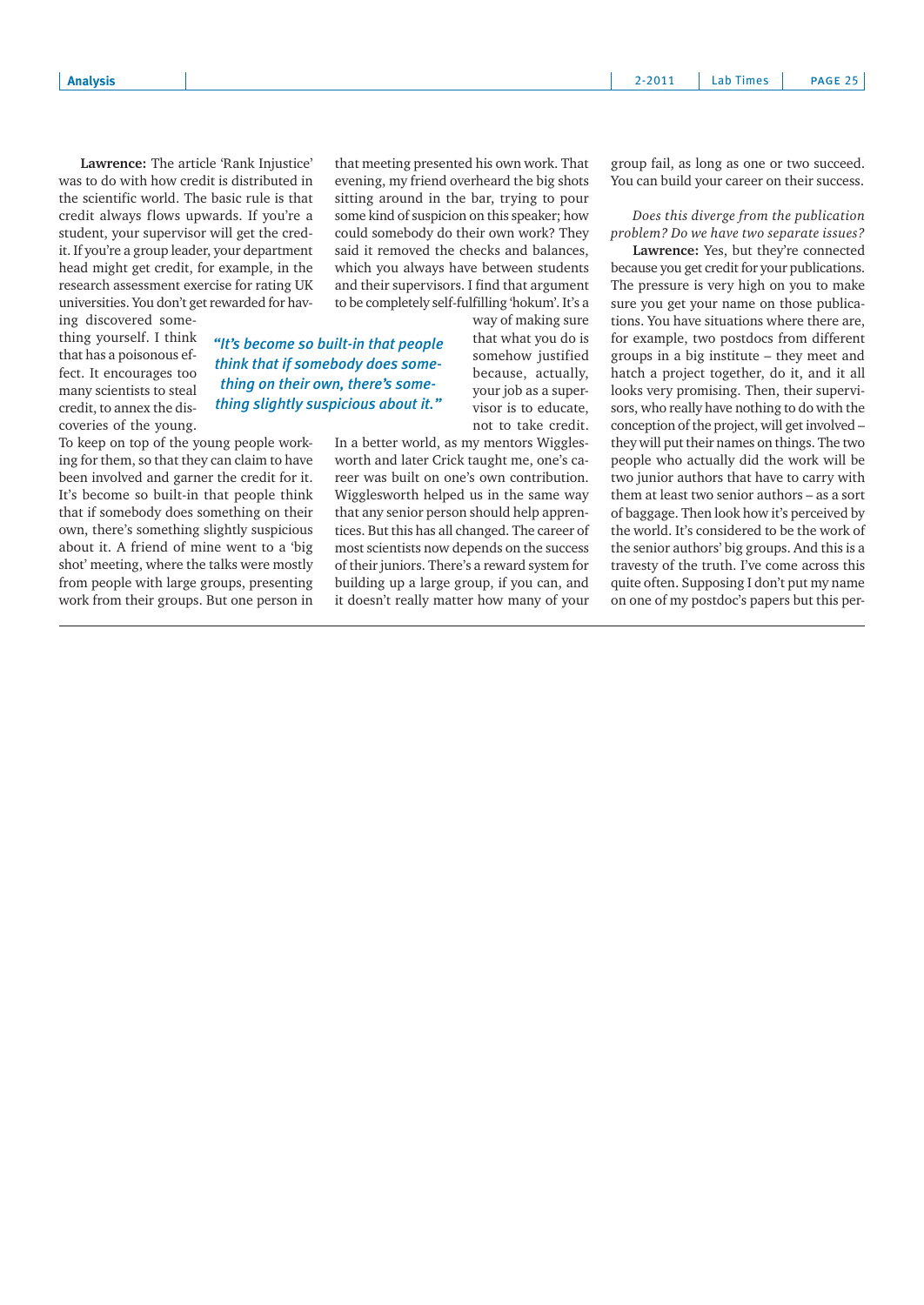**Lawrence:** The article 'Rank Injustice' was to do with how credit is distributed in the scientific world. The basic rule is that credit always flows upwards. If you're a student, your supervisor will get the credit. If you're a group leader, your department head might get credit, for example, in the research assessment exercise for rating UK universities. You don't get rewarded for hav-

ing discovered something yourself. I think that has a poisonous effect. It encourages too many scientists to steal credit, to annex the discoveries of the young.

To keep on top of the young people working for them, so that they can claim to have been involved and garner the credit for it. It's become so built-in that people think that if somebody does something on their own, there's something slightly suspicious about it. A friend of mine went to a 'big shot' meeting, where the talks were mostly from people with large groups, presenting work from their groups. But one person in

that meeting presented his own work. That evening, my friend overheard the big shots sitting around in the bar, trying to pour some kind of suspicion on this speaker; how could somebody do their own work? They said it removed the checks and balances, which you always have between students and their supervisors. I find that argument to be completely self-fulfilling 'hokum'. It's a

> way of making sure that what you do is somehow justified because, actually, your job as a supervisor is to educate,

*"It's become so built-in that people think that if somebody does something on their own, there's something slightly suspicious about it."*

not to take credit. In a better world, as my mentors Wigglesworth and later Crick taught me, one's career was built on one's own contribution. Wigglesworth helped us in the same way that any senior person should help apprentices. But this has all changed. The career of most scientists now depends on the success of their juniors. There's a reward system for building up a large group, if you can, and it doesn't really matter how many of your

group fail, as long as one or two succeed. You can build your career on their success.

## *Does this diverge from the publication problem? Do we have two separate issues?*

**Lawrence:** Yes, but they're connected because you get credit for your publications. The pressure is very high on you to make sure you get your name on those publications. You have situations where there are, for example, two postdocs from different groups in a big institute – they meet and hatch a project together, do it, and it all looks very promising. Then, their supervisors, who really have nothing to do with the conception of the project, will get involved – they will put their names on things. The two people who actually did the work will be two junior authors that have to carry with them at least two senior authors – as a sort of baggage. Then look how it's perceived by the world. It's considered to be the work of the senior authors' big groups. And this is a travesty of the truth. I've come across this quite often. Supposing I don't put my name on one of my postdoc's papers but this per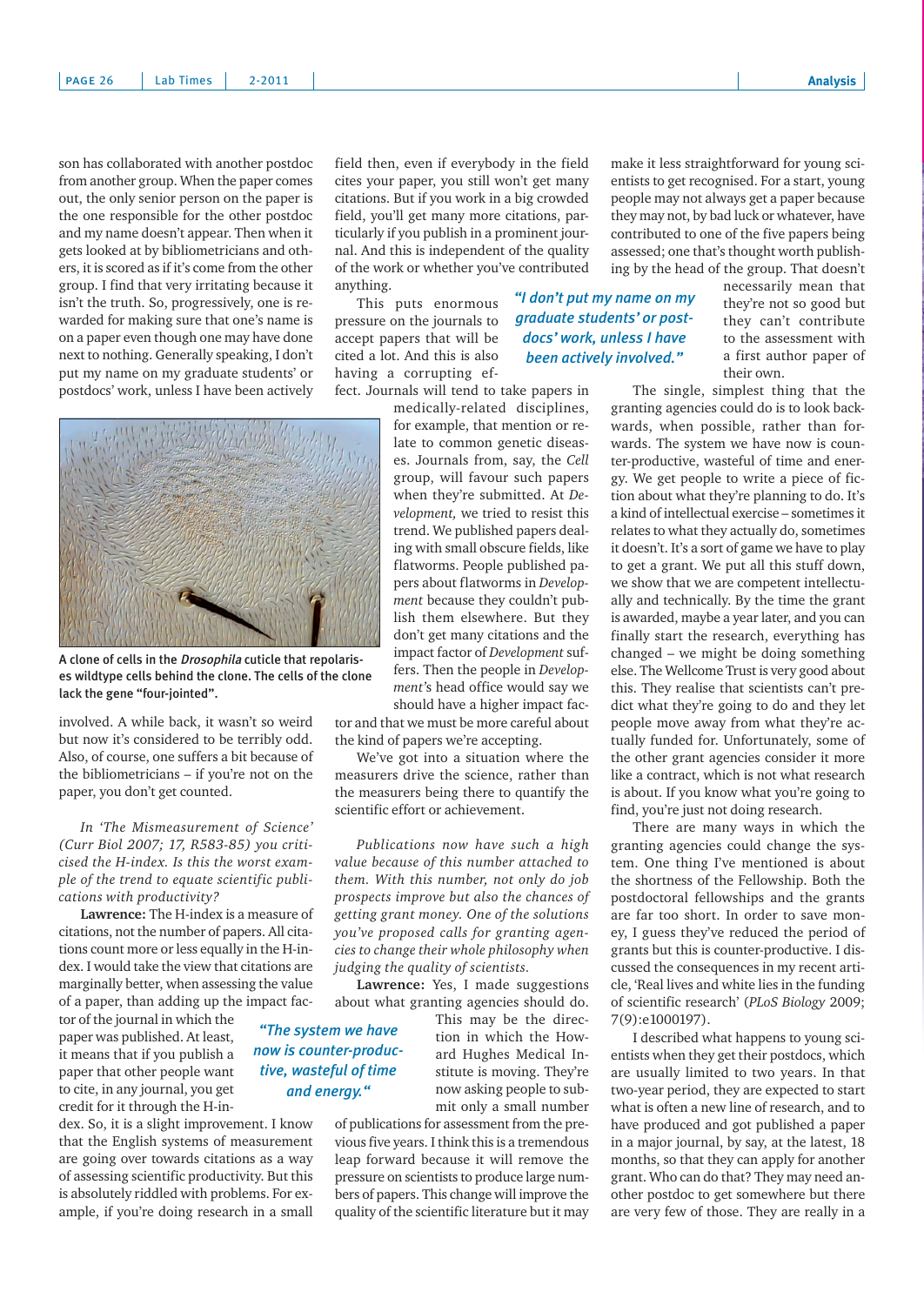son has collaborated with another postdoc from another group. When the paper comes out, the only senior person on the paper is the one responsible for the other postdoc and my name doesn't appear. Then when it gets looked at by bibliometricians and others, it is scored as if it's come from the other group. I find that very irritating because it isn't the truth. So, progressively, one is rewarded for making sure that one's name is on a paper even though one may have done next to nothing. Generally speaking, I don't put my name on my graduate students' or postdocs' work, unless I have been actively

field then, even if everybody in the field cites your paper, you still won't get many citations. But if you work in a big crowded field, you'll get many more citations, particularly if you publish in a prominent journal. And this is independent of the quality of the work or whether you've contributed anything.

This puts enormous pressure on the journals to accept papers that will be cited a lot. And this is also having a corrupting effect. Journals will tend to take papers in

medically-related disciplines, for example, that mention or relate to common genetic diseases. Journals from, say, the *Cell* group, will favour such papers when they're submitted. At *Development,* we tried to resist this trend. We published papers dealing with small obscure fields, like flatworms. People published papers about flatworms in *Development* because they couldn't publish them elsewhere. But they don't get many citations and the impact factor of *Development* suffers. Then the people in *Development'*s head office would say we should have a higher impact fac-

tor and that we must be more careful about the kind of papers we're accepting.

We've got into a situation where the measurers drive the science, rather than the measurers being there to quantify the scientific effort or achievement.

*Publications now have such a high value because of this number attached to them. With this number, not only do job prospects improve but also the chances of getting grant money. One of the solutions you've proposed calls for granting agencies to change their whole philosophy when judging the quality of scientists.*

**Lawrence:** Yes, I made suggestions about what granting agencies should do.

This may be the direction in which the Howard Hughes Medical Institute is moving. They're now asking people to submit only a small number

of publications for assessment from the previous five years. I think this is a tremendous leap forward because it will remove the pressure on scientists to produce large numbers of papers. This change will improve the quality of the scientific literature but it may

make it less straightforward for young scientists to get recognised. For a start, young people may not always get a paper because they may not, by bad luck or whatever, have contributed to one of the five papers being assessed; one that's thought worth publishing by the head of the group. That doesn't

necessarily mean that they're not so good but they can't contribute to the assessment with a first author paper of their own.

The single, simplest thing that the granting agencies could do is to look backwards, when possible, rather than forwards. The system we have now is counter-productive, wasteful of time and energy. We get people to write a piece of fiction about what they're planning to do. It's a kind of intellectual exercise – sometimes it relates to what they actually do, sometimes it doesn't. It's a sort of game we have to play to get a grant. We put all this stuff down, we show that we are competent intellectually and technically. By the time the grant is awarded, maybe a year later, and you can finally start the research, everything has changed – we might be doing something else. The Wellcome Trust is very good about this. They realise that scientists can't predict what they're going to do and they let people move away from what they're actually funded for. Unfortunately, some of the other grant agencies consider it more like a contract, which is not what research is about. If you know what you're going to find, you're just not doing research.

There are many ways in which the granting agencies could change the system. One thing I've mentioned is about the shortness of the Fellowship. Both the postdoctoral fellowships and the grants are far too short. In order to save money, I guess they've reduced the period of grants but this is counter-productive. I discussed the consequences in my recent article, 'Real lives and white lies in the funding of scientific research' (*PLoS Biology* 2009; 7(9):e1000197).

I described what happens to young scientists when they get their postdocs, which are usually limited to two years. In that two-year period, they are expected to start what is often a new line of research, and to have produced and got published a paper in a major journal, by say, at the latest, 18 months, so that they can apply for another grant. Who can do that? They may need another postdoc to get somewhere but there are very few of those. They are really in a

A clone of cells in the Drosophila cuticle that repolaris-

the bibliometricians – if you're not on the paper, you don't get counted.

*In 'The Mismeasurement of Science' (Curr Biol 2007; 17, R583-85) you criticised the H-index. Is this the worst example of the trend to equate scientific publications with productivity?*

**Lawrence:** The H-index is a measure of citations, not the number of papers. All citations count more or less equally in the H-index. I would take the view that citations are marginally better, when assessing the value of a paper, than adding up the impact fac-

tor of the journal in which the paper was published. At least, it means that if you publish a paper that other people want to cite, in any journal, you get credit for it through the H-in-

dex. So, it is a slight improvement. I know that the English systems of measurement are going over towards citations as a way of assessing scientific productivity. But this is absolutely riddled with problems. For example, if you're doing research in a small

es wildtype cells behind the clone. The cells of the clone

lack the gene "four-jointed".

involved. A while back, it wasn't so weird but now it's considered to be terribly odd. Also, of course, one suffers a bit because of

*"The system we have now is counter-productive, wasteful of time and energy."*



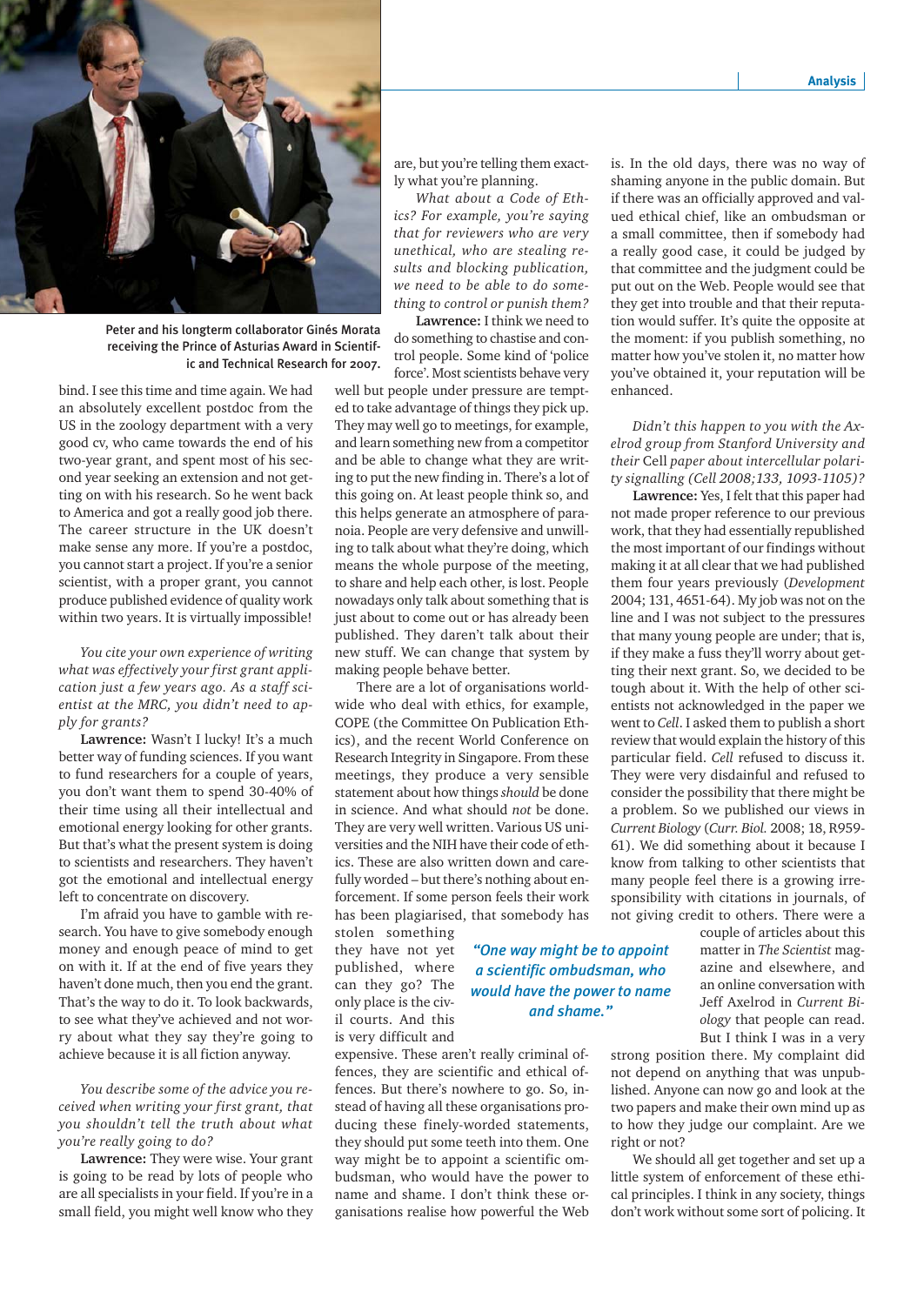

Peter and his longterm collaborator Ginés Morata receiving the Prince of Asturias Award in Scientific and Technical Research for 2007.

bind. I see this time and time again. We had an absolutely excellent postdoc from the US in the zoology department with a very good cv, who came towards the end of his two-year grant, and spent most of his second year seeking an extension and not getting on with his research. So he went back to America and got a really good job there. The career structure in the UK doesn't make sense any more. If you're a postdoc, you cannot start a project. If you're a senior scientist, with a proper grant, you cannot produce published evidence of quality work within two years. It is virtually impossible!

*You cite your own experience of writing what was effectively your first grant application just a few years ago. As a staff scientist at the MRC, you didn't need to apply for grants?* 

**Lawrence:** Wasn't I lucky! It's a much better way of funding sciences. If you want to fund researchers for a couple of years, you don't want them to spend 30-40% of their time using all their intellectual and emotional energy looking for other grants. But that's what the present system is doing to scientists and researchers. They haven't got the emotional and intellectual energy left to concentrate on discovery.

I'm afraid you have to gamble with research. You have to give somebody enough money and enough peace of mind to get on with it. If at the end of five years they haven't done much, then you end the grant. That's the way to do it. To look backwards, to see what they've achieved and not worry about what they say they're going to achieve because it is all fiction anyway.

*You describe some of the advice you received when writing your first grant, that you shouldn't tell the truth about what you're really going to do?* 

**Lawrence:** They were wise. Your grant is going to be read by lots of people who are all specialists in your field. If you're in a small field, you might well know who they

are, but you're telling them exactly what you're planning.

*What about a Code of Ethics? For example, you're saying that for reviewers who are very unethical, who are stealing results and blocking publication, we need to be able to do something to control or punish them?*

**Lawrence:** I think we need to do something to chastise and control people. Some kind of 'police force'. Most scientists behave very

well but people under pressure are tempted to take advantage of things they pick up. They may well go to meetings, for example, and learn something new from a competitor and be able to change what they are writing to put the new finding in. There's a lot of this going on. At least people think so, and this helps generate an atmosphere of paranoia. People are very defensive and unwilling to talk about what they're doing, which means the whole purpose of the meeting, to share and help each other, is lost. People nowadays only talk about something that is just about to come out or has already been published. They daren't talk about their new stuff. We can change that system by making people behave better.

There are a lot of organisations worldwide who deal with ethics, for example, COPE (the Committee On Publication Ethics), and the recent World Conference on Research Integrity in Singapore. From these meetings, they produce a very sensible statement about how things *should* be done in science. And what should *not* be done. They are very well written. Various US universities and the NIH have their code of ethics. These are also written down and carefully worded – but there's nothing about enforcement. If some person feels their work has been plagiarised, that somebody has

stolen something they have not yet published, where can they go? The only place is the civil courts. And this is very difficult and

*"One way might be to appoint a scientific ombudsman, who would have the power to name and shame."*

expensive. These aren't really criminal offences, they are scientific and ethical offences. But there's nowhere to go. So, instead of having all these organisations producing these finely-worded statements, they should put some teeth into them. One way might be to appoint a scientific ombudsman, who would have the power to name and shame. I don't think these organisations realise how powerful the Web

is. In the old days, there was no way of shaming anyone in the public domain. But if there was an officially approved and valued ethical chief, like an ombudsman or a small committee, then if somebody had a really good case, it could be judged by that committee and the judgment could be put out on the Web. People would see that they get into trouble and that their reputation would suffer. It's quite the opposite at the moment: if you publish something, no matter how you've stolen it, no matter how you've obtained it, your reputation will be enhanced.

*Didn't this happen to you with the Axelrod group from Stanford University and their* Cell *paper about intercellular polarity signalling (Cell 2008;133, 1093-1105)?*

**Lawrence:** Yes, I felt that this paper had not made proper reference to our previous work, that they had essentially republished the most important of our findings without making it at all clear that we had published them four years previously (*Development* 2004; 131, 4651-64). My job was not on the line and I was not subject to the pressures that many young people are under; that is, if they make a fuss they'll worry about getting their next grant. So, we decided to be tough about it. With the help of other scientists not acknowledged in the paper we went to *Cell*. I asked them to publish a short review that would explain the history of this particular field. *Cell* refused to discuss it. They were very disdainful and refused to consider the possibility that there might be a problem. So we published our views in *Current Biology* (*Curr. Biol.* 2008; 18, R959- 61). We did something about it because I know from talking to other scientists that many people feel there is a growing irresponsibility with citations in journals, of not giving credit to others. There were a

couple of articles about this matter in *The Scientist* magazine and elsewhere, and an online conversation with Jeff Axelrod in *Current Biology* that people can read. But I think I was in a very

strong position there. My complaint did not depend on anything that was unpublished. Anyone can now go and look at the two papers and make their own mind up as to how they judge our complaint. Are we right or not?

We should all get together and set up a little system of enforcement of these ethical principles. I think in any society, things don't work without some sort of policing. It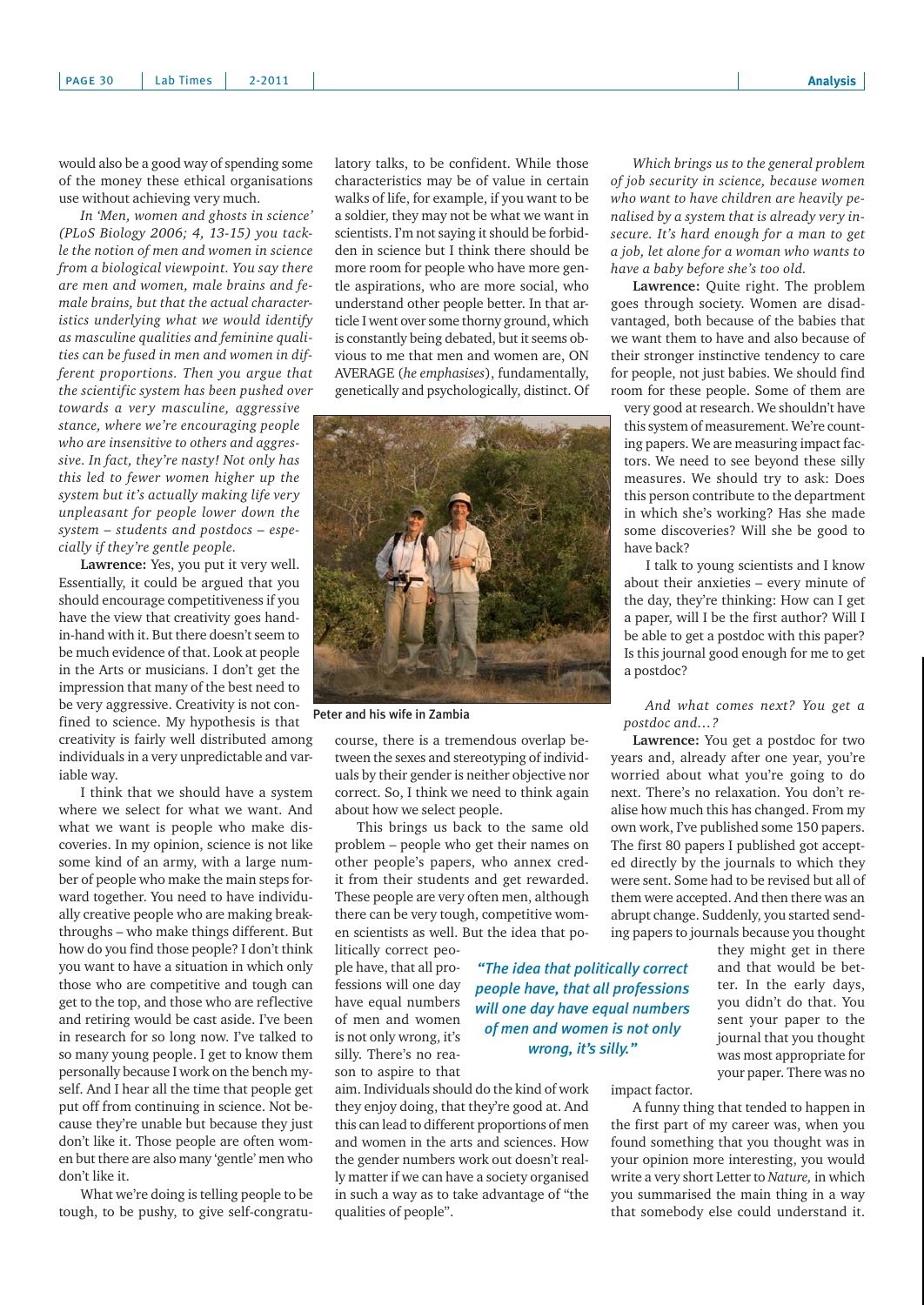would also be a good way of spending some of the money these ethical organisations use without achieving very much.

*In 'Men, women and ghosts in science' (PLoS Biology 2006; 4, 13-15) you tackle the notion of men and women in science from a biological viewpoint. You say there are men and women, male brains and female brains, but that the actual characteristics underlying what we would identify as masculine qualities and feminine qualities can be fused in men and women in different proportions. Then you argue that the scientific system has been pushed over* 

*towards a very masculine, aggressive stance, where we're encouraging people who are insensitive to others and aggressive. In fact, they're nasty! Not only has this led to fewer women higher up the system but it's actually making life very unpleasant for people lower down the system – students and postdocs – especially if they're gentle people.*

**Lawrence:** Yes, you put it very well. Essentially, it could be argued that you should encourage competitiveness if you have the view that creativity goes handin-hand with it. But there doesn't seem to be much evidence of that. Look at people in the Arts or musicians. I don't get the impression that many of the best need to be very aggressive. Creativity is not confined to science. My hypothesis is that creativity is fairly well distributed among individuals in a very unpredictable and variable way.

I think that we should have a system where we select for what we want. And what we want is people who make discoveries. In my opinion, science is not like some kind of an army, with a large number of people who make the main steps forward together. You need to have individually creative people who are making breakthroughs – who make things different. But how do you find those people? I don't think you want to have a situation in which only those who are competitive and tough can get to the top, and those who are reflective and retiring would be cast aside. I've been in research for so long now. I've talked to so many young people. I get to know them personally because I work on the bench myself. And I hear all the time that people get put off from continuing in science. Not because they're unable but because they just don't like it. Those people are often women but there are also many 'gentle' men who don't like it.

What we're doing is telling people to be tough, to be pushy, to give self-congratulatory talks, to be confident. While those characteristics may be of value in certain walks of life, for example, if you want to be a soldier, they may not be what we want in scientists. I'm not saying it should be forbidden in science but I think there should be more room for people who have more gentle aspirations, who are more social, who understand other people better. In that article I went over some thorny ground, which is constantly being debated, but it seems obvious to me that men and women are, ON AVERAGE (*he emphasises*), fundamentally, genetically and psychologically, distinct. Of



Peter and his wife in Zambia

course, there is a tremendous overlap between the sexes and stereotyping of individuals by their gender is neither objective nor correct. So, I think we need to think again about how we select people.

This brings us back to the same old problem – people who get their names on other people's papers, who annex credit from their students and get rewarded. These people are very often men, although there can be very tough, competitive women scientists as well. But the idea that po-

litically correct people have, that all professions will one day have equal numbers of men and women is not only wrong, it's silly. There's no reason to aspire to that

*people have, that all professions will one day have equal numbers of men and women is not only wrong, it's silly."* 

*"The idea that politically correct* 

aim. Individuals should do the kind of work they enjoy doing, that they're good at. And this can lead to different proportions of men and women in the arts and sciences. How the gender numbers work out doesn't really matter if we can have a society organised in such a way as to take advantage of "the qualities of people".

*Which brings us to the general problem of job security in science, because women who want to have children are heavily penalised by a system that is already very insecure. It's hard enough for a man to get a job, let alone for a woman who wants to have a baby before she's too old.*

**Lawrence:** Quite right. The problem goes through society. Women are disadvantaged, both because of the babies that we want them to have and also because of their stronger instinctive tendency to care for people, not just babies. We should find room for these people. Some of them are

very good at research. We shouldn't have this system of measurement. We're counting papers. We are measuring impact factors. We need to see beyond these silly measures. We should try to ask: Does this person contribute to the department in which she's working? Has she made some discoveries? Will she be good to have back?

I talk to young scientists and I know about their anxieties – every minute of the day, they're thinking: How can I get a paper, will I be the first author? Will I be able to get a postdoc with this paper? Is this journal good enough for me to get a postdoc?

*And what comes next? You get a postdoc and…?*

**Lawrence:** You get a postdoc for two years and, already after one year, you're worried about what you're going to do next. There's no relaxation. You don't realise how much this has changed. From my own work, I've published some 150 papers. The first 80 papers I published got accepted directly by the journals to which they were sent. Some had to be revised but all of them were accepted. And then there was an abrupt change. Suddenly, you started sending papers to journals because you thought

> they might get in there and that would be better. In the early days, you didn't do that. You sent your paper to the journal that you thought was most appropriate for your paper. There was no

impact factor.

A funny thing that tended to happen in the first part of my career was, when you found something that you thought was in your opinion more interesting, you would write a very short Letter to *Nature,* in which you summarised the main thing in a way that somebody else could understand it.